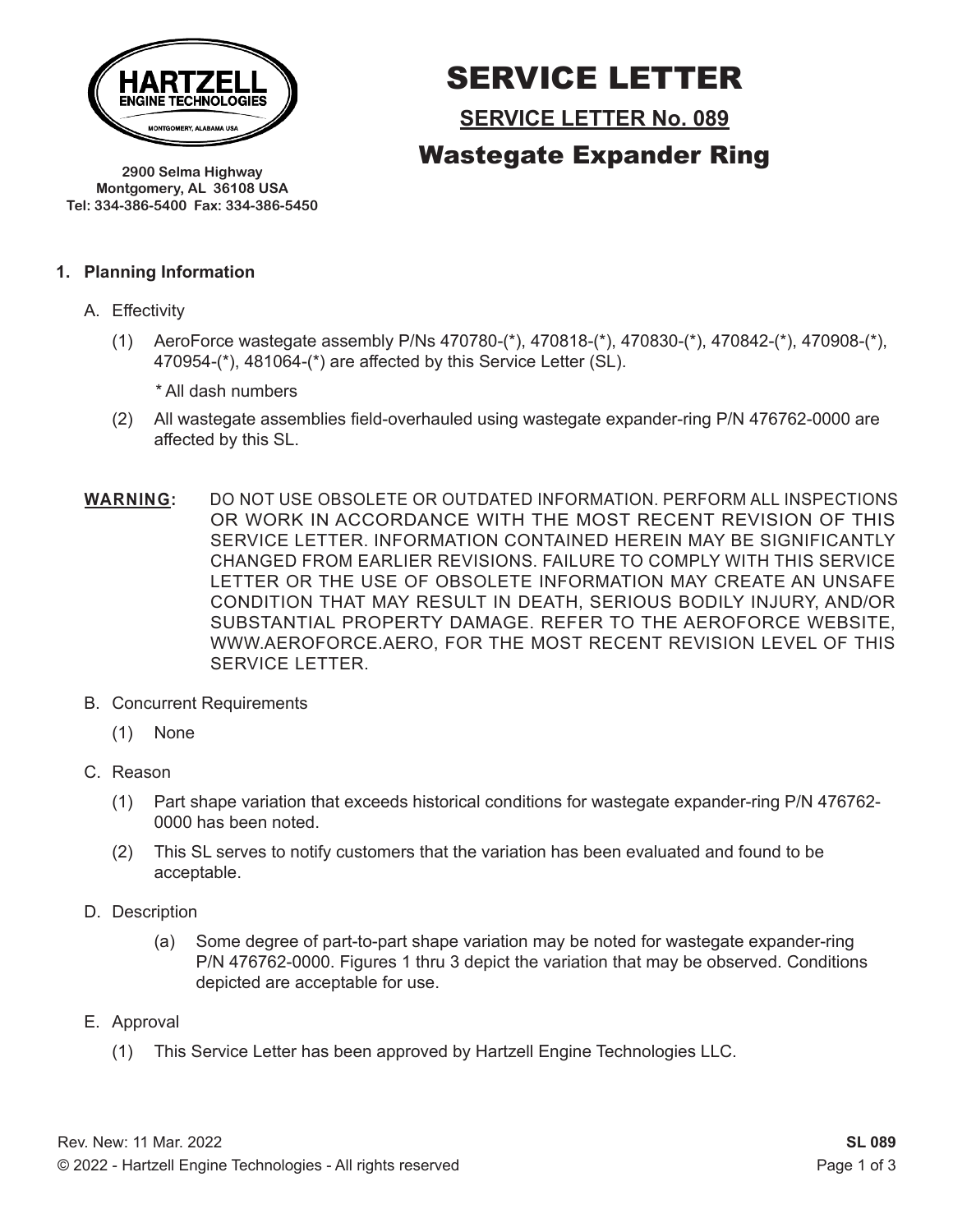

SERVICE LETTER

**SERVICE LETTER No. 089**

Wastegate Expander Ring

**2900 Selma Highway Montgomery, AL 36108 USA Tel: 334-386-5400 Fax: 334-386-5450**

#### **1. Planning Information**

- A. Effectivity
	- (1) AeroForce wastegate assembly P/Ns 470780-(\*), 470818-(\*), 470830-(\*), 470842-(\*), 470908-(\*), 470954-(\*), 481064-(\*) are affected by this Service Letter (SL).
		- *\** All dash numbers
	- (2) All wastegate assemblies field-overhauled using wastegate expander-ring P/N 476762-0000 are affected by this SL.
- **WARNING:** DO NOT USE OBSOLETE OR OUTDATED INFORMATION. PERFORM ALL INSPECTIONS OR WORK IN ACCORDANCE WITH THE MOST RECENT REVISION OF THIS SERVICE LETTER. INFORMATION CONTAINED HEREIN MAY BE SIGNIFICANTLY CHANGED FROM EARLIER REVISIONS. FAILURE TO COMPLY WITH THIS SERVICE LETTER OR THE USE OF OBSOLETE INFORMATION MAY CREATE AN UNSAFE CONDITION THAT MAY RESULT IN DEATH, SERIOUS BODILY INJURY, AND/OR SUBSTANTIAL PROPERTY DAMAGE. REFER TO THE AEROFORCE WEBSITE, WWW.AEROFORCE.AERO, FOR THE MOST RECENT REVISION LEVEL OF THIS SERVICE LETTER.
- B. Concurrent Requirements
	- (1) None
- C. Reason
	- (1) Part shape variation that exceeds historical conditions for wastegate expander-ring P/N 476762- 0000 has been noted.
	- (2) This SL serves to notify customers that the variation has been evaluated and found to be acceptable.
- D. Description
	- (a) Some degree of part-to-part shape variation may be noted for wastegate expander-ring P/N 476762-0000. Figures 1 thru 3 depict the variation that may be observed. Conditions depicted are acceptable for use.
- E. Approval
	- (1) This Service Letter has been approved by Hartzell Engine Technologies LLC.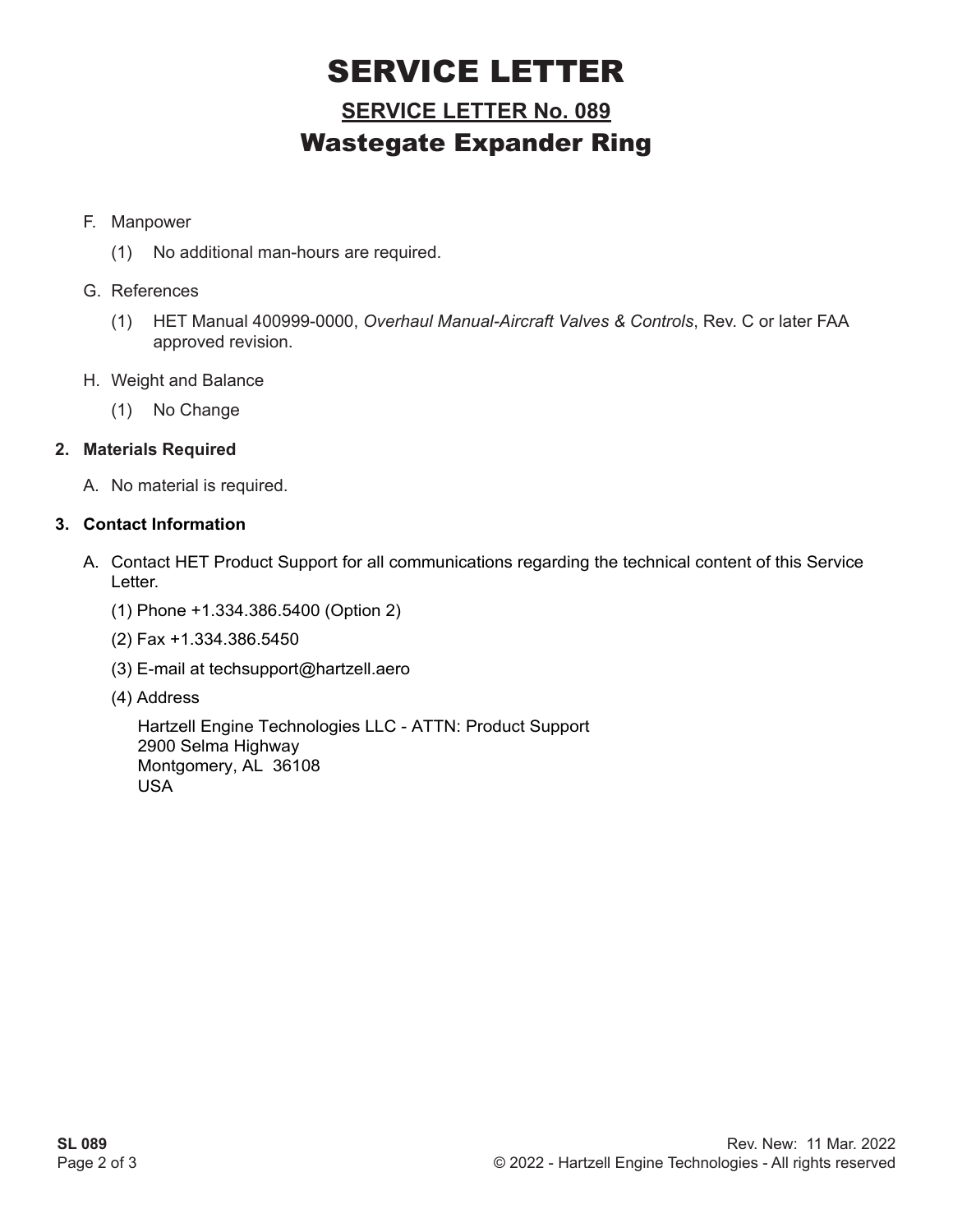## SERVICE LETTER

### **SERVICE LETTER No. 089** Wastegate Expander Ring

#### F. Manpower

(1) No additional man-hours are required.

#### G. References

- (1) HET Manual 400999-0000, *Overhaul Manual-Aircraft Valves & Controls*, Rev. C or later FAA approved revision.
- H. Weight and Balance
	- (1) No Change

#### **2. Materials Required**

A. No material is required.

#### **3. Contact Information**

- A. Contact HET Product Support for all communications regarding the technical content of this Service Letter.
	- (1) Phone +1.334.386.5400 (Option 2)
	- (2) Fax +1.334.386.5450
	- (3) E-mail at techsupport@hartzell.aero
	- (4) Address

Hartzell Engine Technologies LLC - ATTN: Product Support 2900 Selma Highway Montgomery, AL 36108 USA